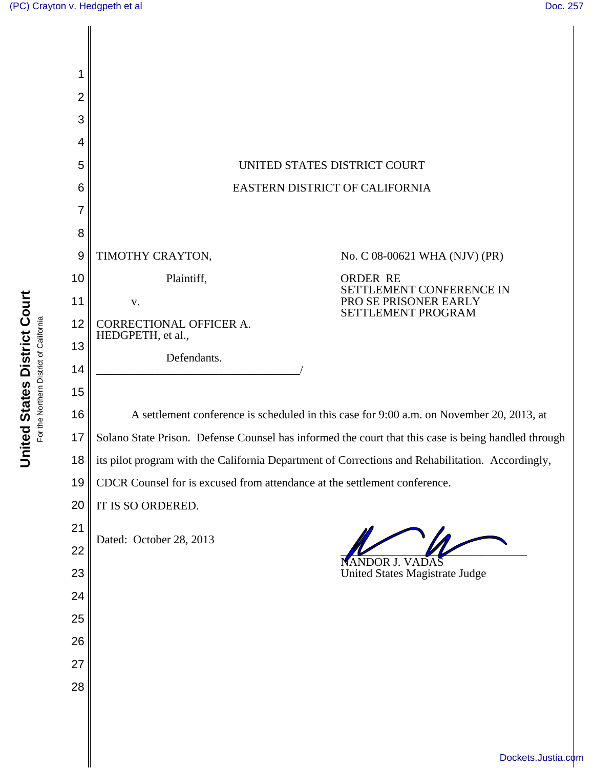

United States District Court **United States District Court** For the Northern District of California For the Northern District of California